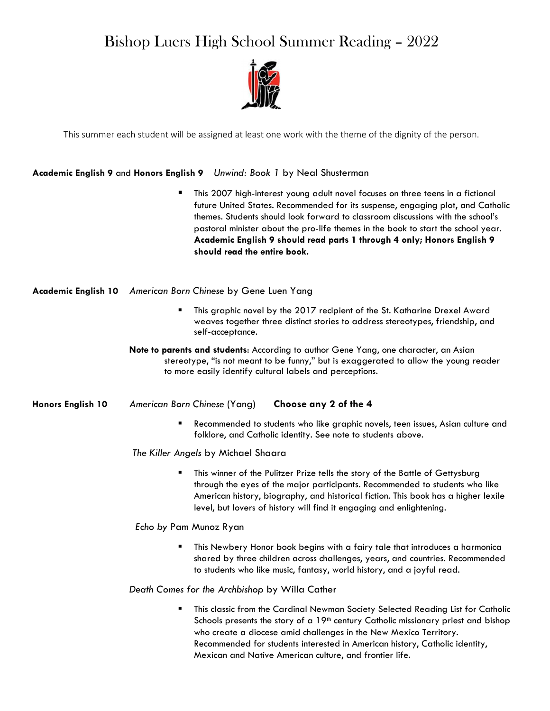# Bishop Luers High School Summer Reading – 2022



This summer each student will be assigned at least one work with the theme of the dignity of the person.

## Academic English 9 and Honors English 9 Unwind: Book 1 by Neal Shusterman

 This 2007 high-interest young adult novel focuses on three teens in a fictional future United States. Recommended for its suspense, engaging plot, and Catholic themes. Students should look forward to classroom discussions with the school's pastoral minister about the pro-life themes in the book to start the school year. Academic English 9 should read parts 1 through 4 only; Honors English 9 should read the entire book.

## Academic English 10 American Born Chinese by Gene Luen Yang

- This graphic novel by the 2017 recipient of the St. Katharine Drexel Award weaves together three distinct stories to address stereotypes, friendship, and self-acceptance.
- Note to parents and students: According to author Gene Yang, one character, an Asian stereotype, "is not meant to be funny," but is exaggerated to allow the young reader to more easily identify cultural labels and perceptions.

## Honors English 10 American Born Chinese (Yang) Choose any 2 of the 4

 Recommended to students who like graphic novels, teen issues, Asian culture and folklore, and Catholic identity. See note to students above.

The Killer Angels by Michael Shaara

**This winner of the Pulitzer Prize tells the story of the Battle of Gettysburg** through the eyes of the major participants. Recommended to students who like American history, biography, and historical fiction. This book has a higher lexile level, but lovers of history will find it engaging and enlightening.

Echo by Pam Munoz Ryan

 This Newbery Honor book begins with a fairy tale that introduces a harmonica shared by three children across challenges, years, and countries. Recommended to students who like music, fantasy, world history, and a joyful read.

#### Death Comes for the Archbishop by Willa Cather

 This classic from the Cardinal Newman Society Selected Reading List for Catholic Schools presents the story of a 19<sup>th</sup> century Catholic missionary priest and bishop who create a diocese amid challenges in the New Mexico Territory. Recommended for students interested in American history, Catholic identity, Mexican and Native American culture, and frontier life.